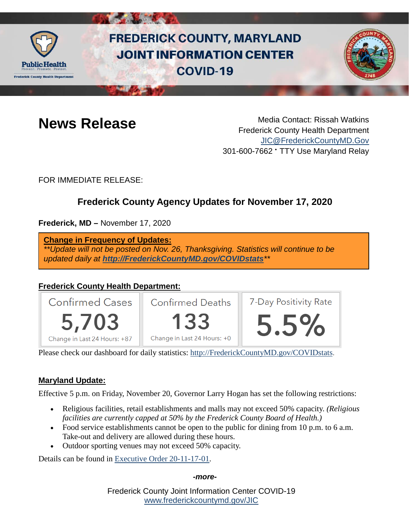

# **FREDERICK COUNTY, MARYLAND JOINT INFORMATION CENTER COVID-19**



**News Release** Media Contact: Rissah Watkins Frederick County Health Department [JIC@FrederickCountyMD.Gov](mailto:JIC@FrederickCountyMD.Gov) 301-600-7662 • TTY Use Maryland Relay

FOR IMMEDIATE RELEASE:

# **Frederick County Agency Updates for November 17, 2020**

**Frederick, MD –** November 17, 2020

**Change in Frequency of Updates:**

*\*\*Update will not be posted on Nov. 26, Thanksgiving. Statistics will continue to be updated daily at [http://FrederickCountyMD.gov/COVIDstats](http://frederickcountymd.gov/COVIDstats)\*\**

# **Frederick County Health Department:**



Please check our dashboard for daily statistics: [http://FrederickCountyMD.gov/COVIDstats.](http://frederickcountymd.gov/COVIDstats)

# **Maryland Update:**

Effective 5 p.m. on Friday, November 20, Governor Larry Hogan has set the following restrictions:

- Religious facilities, retail establishments and malls may not exceed 50% capacity. *(Religious facilities are currently capped at 50% by the Frederick County Board of Health.)*
- Food service establishments cannot be open to the public for dining from 10 p.m. to 6 a.m. Take-out and delivery are allowed during these hours.
- Outdoor sporting venues may not exceed 50% capacity.

Details can be found in [Executive Order 20-11-17-01.](https://governor.maryland.gov/wp-content/uploads/2020/11/Order-20-11-17-01.pdf)

#### *-more-*

Frederick County Joint Information Center COVID-19 [www.frederickcountymd.gov/JIC](https://frederickcountymd.gov/JIC)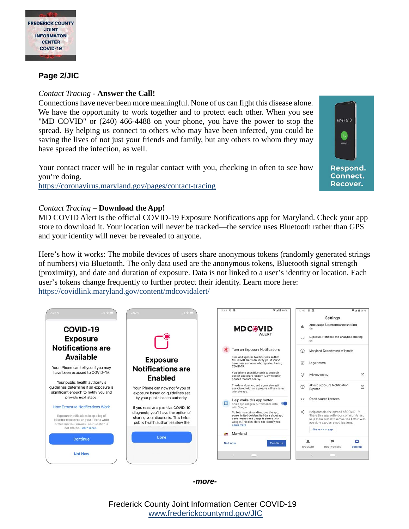

### **Page 2/JIC**

#### *Contact Tracing -* **Answer the Call!**

Connections have never been more meaningful. None of us can fight this disease alone. We have the opportunity to work together and to protect each other. When you see "MD COVID" or (240) 466-4488 on your phone, you have the power to stop the spread. By helping us connect to others who may have been infected, you could be saving the lives of not just your friends and family, but any others to whom they may have spread the infection, as well.

Your contact tracer will be in regular contact with you, checking in often to see how you're doing. [https://coronavirus.maryland.gov/pages/contact-tracing](https://urldefense.com/v3/__https:/coronavirus.maryland.gov/pages/contact-tracing__;!!I2-OFBIJoQBJqqeup9g!RUnqK0XTuUuYLc5G4Y5s3oDiGlW5Ygs0fZHdSOoNwdHAAtMaJq0fwlTHleYkRQKobtJj_FYMKSY$)



#### *Contact Tracing –* **Download the App!**

MD COVID Alert is the official COVID-19 Exposure Notifications app for Maryland. Check your app store to download it. Your location will never be tracked—the service uses Bluetooth rather than GPS and your identity will never be revealed to anyone.

Here's how it works: The mobile devices of users share anonymous tokens (randomly generated strings of numbers) via Bluetooth. The only data used are the anonymous tokens, Bluetooth signal strength (proximity), and date and duration of exposure. Data is not linked to a user's identity or location. Each user's tokens change frequently to further protect their identity. Learn more here: <https://covidlink.maryland.gov/content/mdcovidalert/>



*-more-*

Frederick County Joint Information Center COVID-19 [www.frederickcountymd.gov/JIC](https://frederickcountymd.gov/JIC)